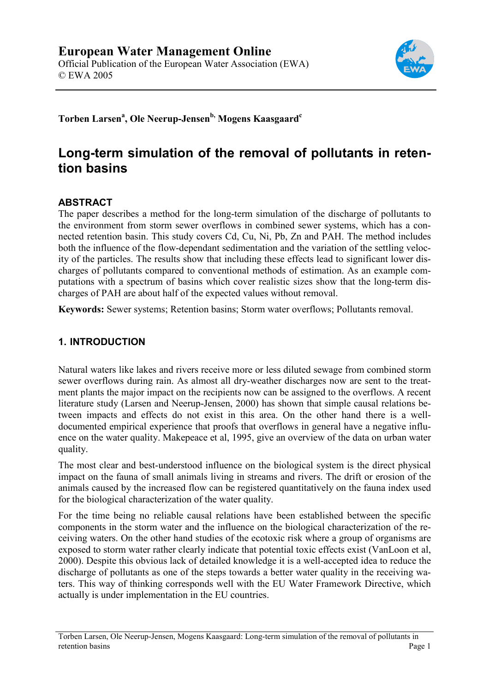

**Torben Larsen<sup>a</sup> , Ole Neerup-Jensenb, Mogens Kaasgaardc**

# **Long-term simulation of the removal of pollutants in retention basins**

#### **ABSTRACT**

The paper describes a method for the long-term simulation of the discharge of pollutants to the environment from storm sewer overflows in combined sewer systems, which has a connected retention basin. This study covers Cd, Cu, Ni, Pb, Zn and PAH. The method includes both the influence of the flow-dependant sedimentation and the variation of the settling velocity of the particles. The results show that including these effects lead to significant lower discharges of pollutants compared to conventional methods of estimation. As an example computations with a spectrum of basins which cover realistic sizes show that the long-term discharges of PAH are about half of the expected values without removal.

**Keywords:** Sewer systems; Retention basins; Storm water overflows; Pollutants removal.

# **1. INTRODUCTION**

Natural waters like lakes and rivers receive more or less diluted sewage from combined storm sewer overflows during rain. As almost all dry-weather discharges now are sent to the treatment plants the major impact on the recipients now can be assigned to the overflows. A recent literature study (Larsen and Neerup-Jensen, 2000) has shown that simple causal relations between impacts and effects do not exist in this area. On the other hand there is a welldocumented empirical experience that proofs that overflows in general have a negative influence on the water quality. Makepeace et al, 1995, give an overview of the data on urban water quality.

The most clear and best-understood influence on the biological system is the direct physical impact on the fauna of small animals living in streams and rivers. The drift or erosion of the animals caused by the increased flow can be registered quantitatively on the fauna index used for the biological characterization of the water quality.

For the time being no reliable causal relations have been established between the specific components in the storm water and the influence on the biological characterization of the receiving waters. On the other hand studies of the ecotoxic risk where a group of organisms are exposed to storm water rather clearly indicate that potential toxic effects exist (VanLoon et al, 2000). Despite this obvious lack of detailed knowledge it is a well-accepted idea to reduce the discharge of pollutants as one of the steps towards a better water quality in the receiving waters. This way of thinking corresponds well with the EU Water Framework Directive, which actually is under implementation in the EU countries.

Torben Larsen, Ole Neerup-Jensen, Mogens Kaasgaard: Long-term simulation of the removal of pollutants in retention basins Page 1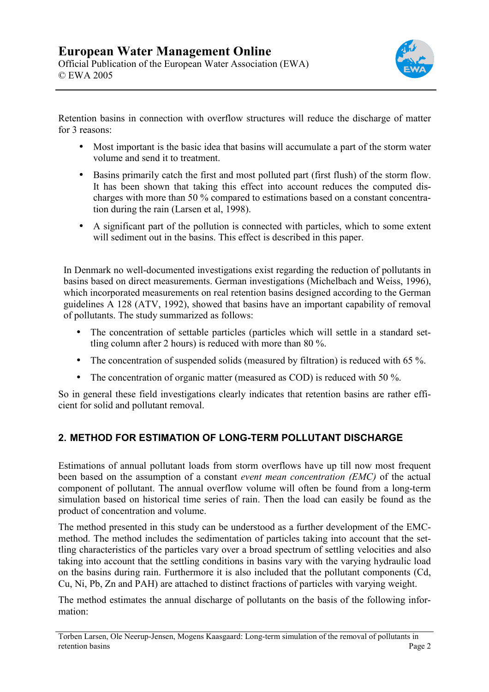

Retention basins in connection with overflow structures will reduce the discharge of matter for 3 reasons:

- Most important is the basic idea that basins will accumulate a part of the storm water volume and send it to treatment.
- Basins primarily catch the first and most polluted part (first flush) of the storm flow. It has been shown that taking this effect into account reduces the computed discharges with more than 50 % compared to estimations based on a constant concentration during the rain (Larsen et al, 1998).
- A significant part of the pollution is connected with particles, which to some extent will sediment out in the basins. This effect is described in this paper.

In Denmark no well-documented investigations exist regarding the reduction of pollutants in basins based on direct measurements. German investigations (Michelbach and Weiss, 1996), which incorporated measurements on real retention basins designed according to the German guidelines A 128 (ATV, 1992), showed that basins have an important capability of removal of pollutants. The study summarized as follows:

- The concentration of settable particles (particles which will settle in a standard settling column after 2 hours) is reduced with more than 80 %.
- The concentration of suspended solids (measured by filtration) is reduced with 65 %.
- The concentration of organic matter (measured as COD) is reduced with 50 %.

So in general these field investigations clearly indicates that retention basins are rather efficient for solid and pollutant removal.

# **2. METHOD FOR ESTIMATION OF LONG-TERM POLLUTANT DISCHARGE**

Estimations of annual pollutant loads from storm overflows have up till now most frequent been based on the assumption of a constant *event mean concentration (EMC)* of the actual component of pollutant. The annual overflow volume will often be found from a long-term simulation based on historical time series of rain. Then the load can easily be found as the product of concentration and volume.

The method presented in this study can be understood as a further development of the EMCmethod. The method includes the sedimentation of particles taking into account that the settling characteristics of the particles vary over a broad spectrum of settling velocities and also taking into account that the settling conditions in basins vary with the varying hydraulic load on the basins during rain. Furthermore it is also included that the pollutant components (Cd, Cu, Ni, Pb, Zn and PAH) are attached to distinct fractions of particles with varying weight.

The method estimates the annual discharge of pollutants on the basis of the following information:

Torben Larsen, Ole Neerup-Jensen, Mogens Kaasgaard: Long-term simulation of the removal of pollutants in retention basins Page 2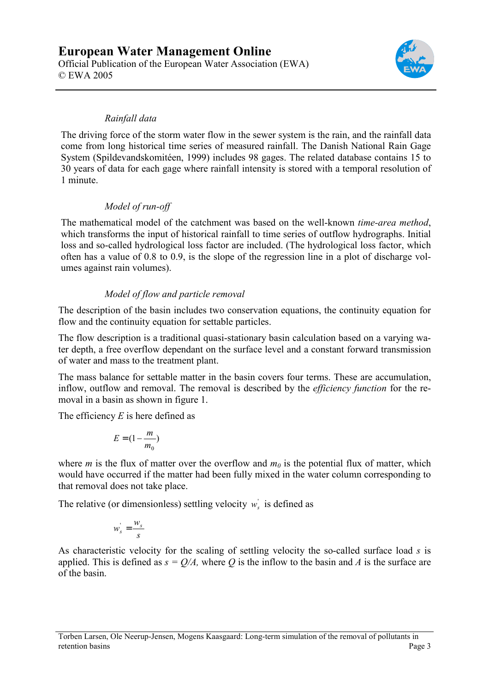

#### *Rainfall data*

The driving force of the storm water flow in the sewer system is the rain, and the rainfall data come from long historical time series of measured rainfall. The Danish National Rain Gage System (Spildevandskomitéen, 1999) includes 98 gages. The related database contains 15 to 30 years of data for each gage where rainfall intensity is stored with a temporal resolution of 1 minute.

#### *Model of run-off*

The mathematical model of the catchment was based on the well-known *time-area method*, which transforms the input of historical rainfall to time series of outflow hydrographs. Initial loss and so-called hydrological loss factor are included. (The hydrological loss factor, which often has a value of 0.8 to 0.9, is the slope of the regression line in a plot of discharge volumes against rain volumes).

# *Model of flow and particle removal*

The description of the basin includes two conservation equations, the continuity equation for flow and the continuity equation for settable particles.

The flow description is a traditional quasi-stationary basin calculation based on a varying water depth, a free overflow dependant on the surface level and a constant forward transmission of water and mass to the treatment plant.

The mass balance for settable matter in the basin covers four terms. These are accumulation, inflow, outflow and removal. The removal is described by the *efficiency function* for the removal in a basin as shown in figure 1.

The efficiency *E* is here defined as

$$
E = (1 - \frac{m}{m_0})
$$

where *m* is the flux of matter over the overflow and  $m_0$  is the potential flux of matter, which would have occurred if the matter had been fully mixed in the water column corresponding to that removal does not take place.

The relative (or dimensionless) settling velocity  $w_s$  is defined as

$$
w'_s = \frac{w_s}{s}
$$

As characteristic velocity for the scaling of settling velocity the so-called surface load *s* is applied. This is defined as  $s = Q/A$ , where O is the inflow to the basin and A is the surface are of the basin.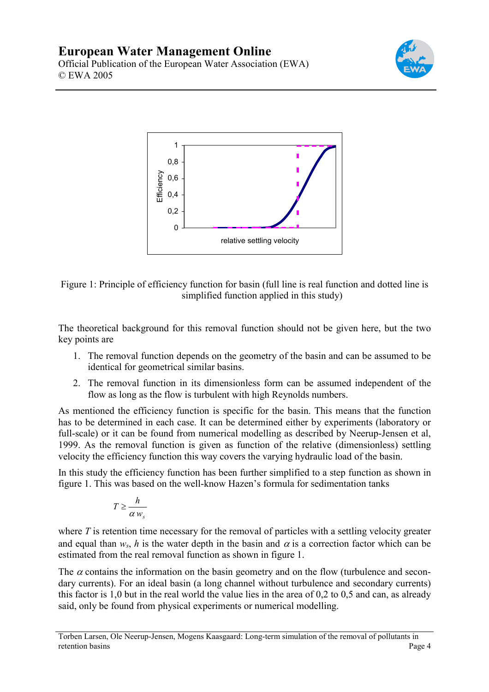



Figure 1: Principle of efficiency function for basin (full line is real function and dotted line is simplified function applied in this study)

The theoretical background for this removal function should not be given here, but the two key points are

- 1. The removal function depends on the geometry of the basin and can be assumed to be identical for geometrical similar basins.
- 2. The removal function in its dimensionless form can be assumed independent of the flow as long as the flow is turbulent with high Reynolds numbers.

As mentioned the efficiency function is specific for the basin. This means that the function has to be determined in each case. It can be determined either by experiments (laboratory or full-scale) or it can be found from numerical modelling as described by Neerup-Jensen et al, 1999. As the removal function is given as function of the relative (dimensionless) settling velocity the efficiency function this way covers the varying hydraulic load of the basin.

In this study the efficiency function has been further simplified to a step function as shown in figure 1. This was based on the well-know Hazen's formula for sedimentation tanks

$$
T \geq \frac{h}{\alpha w_s}
$$

where *T* is retention time necessary for the removal of particles with a settling velocity greater and equal than  $w_s$ , *h* is the water depth in the basin and  $\alpha$  is a correction factor which can be estimated from the real removal function as shown in figure 1.

The  $\alpha$  contains the information on the basin geometry and on the flow (turbulence and secondary currents). For an ideal basin (a long channel without turbulence and secondary currents) this factor is 1,0 but in the real world the value lies in the area of 0,2 to 0,5 and can, as already said, only be found from physical experiments or numerical modelling.

Torben Larsen, Ole Neerup-Jensen, Mogens Kaasgaard: Long-term simulation of the removal of pollutants in retention basins Page 4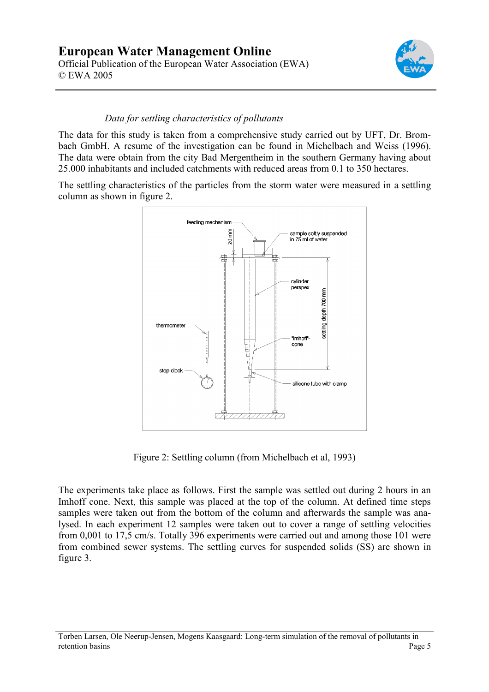

#### *Data for settling characteristics of pollutants*

The data for this study is taken from a comprehensive study carried out by UFT, Dr. Brombach GmbH. A resume of the investigation can be found in Michelbach and Weiss (1996). The data were obtain from the city Bad Mergentheim in the southern Germany having about 25.000 inhabitants and included catchments with reduced areas from 0.1 to 350 hectares.

The settling characteristics of the particles from the storm water were measured in a settling column as shown in figure 2.



Figure 2: Settling column (from Michelbach et al, 1993)

The experiments take place as follows. First the sample was settled out during 2 hours in an Imhoff cone. Next, this sample was placed at the top of the column. At defined time steps samples were taken out from the bottom of the column and afterwards the sample was analysed. In each experiment 12 samples were taken out to cover a range of settling velocities from 0,001 to 17,5 cm/s. Totally 396 experiments were carried out and among those 101 were from combined sewer systems. The settling curves for suspended solids (SS) are shown in figure 3.

Torben Larsen, Ole Neerup-Jensen, Mogens Kaasgaard: Long-term simulation of the removal of pollutants in retention basins Page 5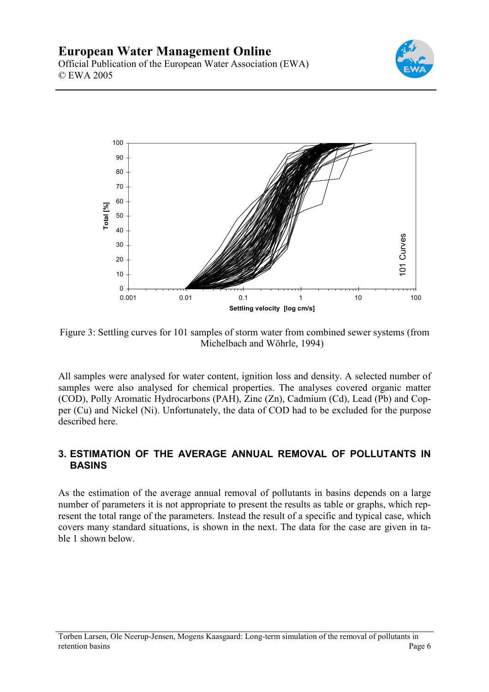



Figure 3: Settling curves for 101 samples of storm water from combined sewer systems (from Michelbach and Wöhrle, 1994)

All samples were analysed for water content, ignition loss and density. A selected number of samples were also analysed for chemical properties. The analyses covered organic matter (COD), Polly Aromatic Hydrocarbons (PAH), Zinc (Zn), Cadmium (Cd), Lead (Pb) and Copper (Cu) and Nickel (Ni). Unfortunately, the data of COD had to be excluded for the purpose described here.

# **3. ESTIMATION OF THE AVERAGE ANNUAL REMOVAL OF POLLUTANTS IN BASINS**

As the estimation of the average annual removal of pollutants in basins depends on a large number of parameters it is not appropriate to present the results as table or graphs, which represent the total range of the parameters. Instead the result of a specific and typical case, which covers many standard situations, is shown in the next. The data for the case are given in table 1 shown below.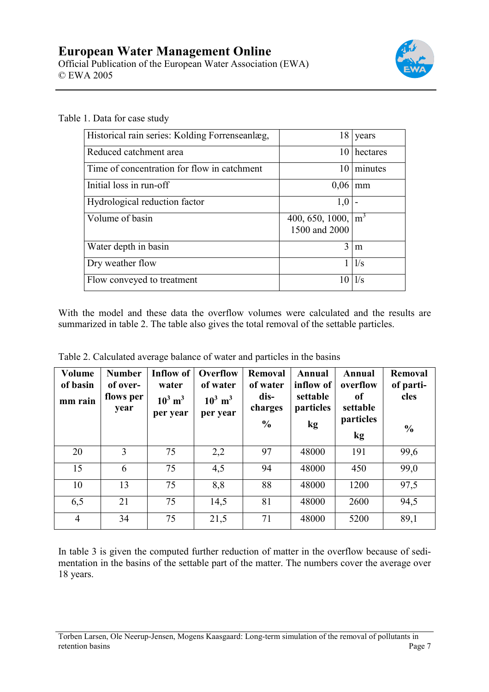

| Historical rain series: Kolding Forrenseanlæg, | 18                                     | years    |
|------------------------------------------------|----------------------------------------|----------|
| Reduced catchment area                         | 10                                     | hectares |
| Time of concentration for flow in catchment    | 10                                     | minutes  |
| Initial loss in run-off                        | 0,06                                   | mm       |
| Hydrological reduction factor                  | 1,0                                    |          |
| Volume of basin                                | 400, 650, 1000, $\vert$ m <sup>3</sup> |          |
|                                                | 1500 and 2000                          |          |
| Water depth in basin                           | 3                                      | m        |
| Dry weather flow                               |                                        | 1/s      |
| Flow conveyed to treatment                     |                                        | 1/s      |

Table 1. Data for case study

With the model and these data the overflow volumes were calculated and the results are summarized in table 2. The table also gives the total removal of the settable particles.

| <b>Volume</b><br>of basin<br>mm rain | <b>Number</b><br>of over-<br>flows per<br>year | Inflow of<br>water<br>$10^3$ m <sup>3</sup><br>per year | Overflow<br>of water<br>$10^3$ m <sup>3</sup><br>per year | <b>Removal</b><br>of water<br>dis-<br>charges<br>$\frac{0}{0}$ | Annual<br>inflow of<br>settable<br>particles<br>kg | Annual<br>overflow<br><sub>of</sub><br>settable<br>particles<br>kg | <b>Removal</b><br>of parti-<br>cles<br>$\frac{0}{0}$ |
|--------------------------------------|------------------------------------------------|---------------------------------------------------------|-----------------------------------------------------------|----------------------------------------------------------------|----------------------------------------------------|--------------------------------------------------------------------|------------------------------------------------------|
| 20                                   | 3                                              | 75                                                      | 2,2                                                       | 97                                                             | 48000                                              | 191                                                                | 99,6                                                 |
| 15                                   | 6                                              | 75                                                      | 4,5                                                       | 94                                                             | 48000                                              | 450                                                                | 99,0                                                 |
| 10                                   | 13                                             | 75                                                      | 8,8                                                       | 88                                                             | 48000                                              | 1200                                                               | 97,5                                                 |
| 6,5                                  | 21                                             | 75                                                      | 14,5                                                      | 81                                                             | 48000                                              | 2600                                                               | 94,5                                                 |
| $\overline{4}$                       | 34                                             | 75                                                      | 21,5                                                      | 71                                                             | 48000                                              | 5200                                                               | 89,1                                                 |

Table 2. Calculated average balance of water and particles in the basins

In table 3 is given the computed further reduction of matter in the overflow because of sedimentation in the basins of the settable part of the matter. The numbers cover the average over 18 years.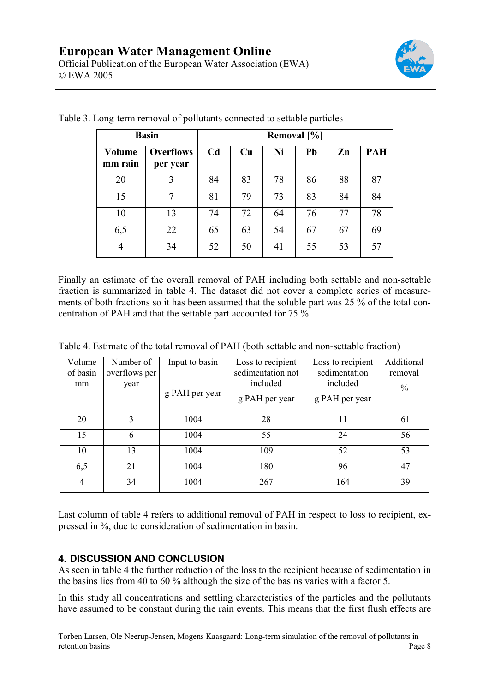

| <b>Basin</b>      | Removal [%]                  |                |    |    |    |    |            |
|-------------------|------------------------------|----------------|----|----|----|----|------------|
| Volume<br>mm rain | <b>Overflows</b><br>per year | C <sub>d</sub> | Cu | Ni | Pb | Zn | <b>PAH</b> |
| 20                | 3                            | 84             | 83 | 78 | 86 | 88 | 87         |
| 15                |                              | 81             | 79 | 73 | 83 | 84 | 84         |
| 10                | 13                           | 74             | 72 | 64 | 76 | 77 | 78         |
| 6,5               | 22                           | 65             | 63 | 54 | 67 | 67 | 69         |
| $\overline{4}$    | 34                           | 52             | 50 | 41 | 55 | 53 | 57         |

Table 3. Long-term removal of pollutants connected to settable particles

Finally an estimate of the overall removal of PAH including both settable and non-settable fraction is summarized in table 4. The dataset did not cover a complete series of measurements of both fractions so it has been assumed that the soluble part was 25 % of the total concentration of PAH and that the settable part accounted for 75 %.

Table 4. Estimate of the total removal of PAH (both settable and non-settable fraction)

| Volume<br>of basin<br>mm | Number of<br>overflows per<br>year | Input to basin<br>g PAH per year | Loss to recipient<br>sedimentation not<br>included<br>g PAH per year | Loss to recipient<br>sedimentation<br>included<br>g PAH per year | Additional<br>removal<br>$\frac{0}{0}$ |
|--------------------------|------------------------------------|----------------------------------|----------------------------------------------------------------------|------------------------------------------------------------------|----------------------------------------|
|                          |                                    |                                  |                                                                      |                                                                  |                                        |
| 20                       | 3                                  | 1004                             | 28                                                                   | 11                                                               | 61                                     |
| 15                       | 6                                  | 1004                             | 55                                                                   | 24                                                               | 56                                     |
| 10                       | 13                                 | 1004                             | 109                                                                  | 52                                                               | 53                                     |
| 6,5                      | 21                                 | 1004                             | 180                                                                  | 96                                                               | 47                                     |
| 4                        | 34                                 | 1004                             | 267                                                                  | 164                                                              | 39                                     |

Last column of table 4 refers to additional removal of PAH in respect to loss to recipient, expressed in %, due to consideration of sedimentation in basin.

# **4. DISCUSSION AND CONCLUSION**

As seen in table 4 the further reduction of the loss to the recipient because of sedimentation in the basins lies from 40 to 60 % although the size of the basins varies with a factor 5.

In this study all concentrations and settling characteristics of the particles and the pollutants have assumed to be constant during the rain events. This means that the first flush effects are